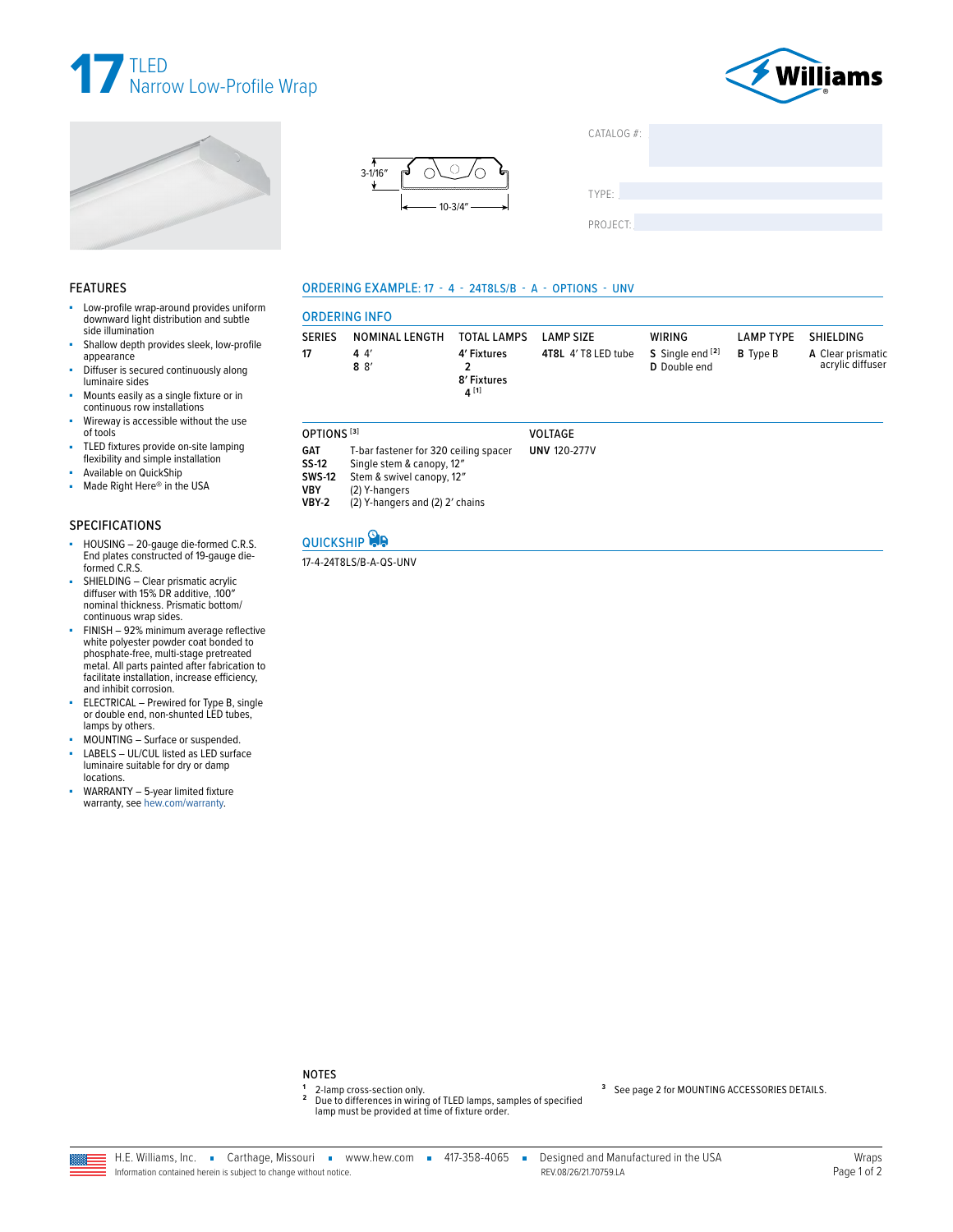







| CAIALUGF |  |  |
|----------|--|--|
|          |  |  |
|          |  |  |
| TYPE:    |  |  |
|          |  |  |
| PROJECT: |  |  |
|          |  |  |

## **FEATURES**

- ÷. Low-profile wrap-around provides uniform downward light distribution and subtle side illumination
- Shallow depth provides sleek, low-profile appearance
- Diffuser is secured continuously along luminaire sides
- Mounts easily as a single fixture or in<br>continuous row installations
- Wireway is accessible without the use of tools
- TLED fixtures provide on-site lamping flexibility and simple installation
- Available on QuickShip
- Made Right Here® in the USA ×.

#### **SPECIFICATIONS**

- HOUSING 20-gauge die-formed C.R.S.<br>End plates constructed of 19-gauge dieà. formed C.R.S.
- SHIELDING Clear prismatic acrylic<br>diffuser with 15% DR additive, 100"<br>nominal thickness. Prismatic bottom/ continuous wrap sides.
- FINISH 92% minimum average reflective white polyester powder coat bonded to<br>phosphate-free, multi-stage pretreated<br>metal. All parts painted after fabrication to facilitate installation, increase efficiency, and inhibit corrosion.
- ELECTRICAL Prewired for Type B, single or double end, non-shunted LED tubes, lamps by others.
- MOUNTING Surface or suspended.
- LABELS UL/CUL listed as LED surface luminaire suitable for dry or damp locations.
- WARRANTY 5-year limited fixture warranty, see hew.com/warranty.

## ORDERING EXAMPLE: 17 - 4 - 24T8LS/B - A - OPTIONS - UNV

| <b>ORDERING INFO</b>                                                                                                                                               |                       |                                          |                     |                                  |                  |                                       |  |  |  |
|--------------------------------------------------------------------------------------------------------------------------------------------------------------------|-----------------------|------------------------------------------|---------------------|----------------------------------|------------------|---------------------------------------|--|--|--|
| <b>SERIES</b>                                                                                                                                                      | NOMINAL LENGTH        | <b>TOTAL LAMPS</b>                       | <b>LAMP SIZE</b>    | <b>WIRING</b>                    | <b>LAMP TYPE</b> | SHIELDING                             |  |  |  |
| 17                                                                                                                                                                 | 44'<br>8 <sup>8</sup> | 4' Fixtures<br>2<br>8' Fixtures<br>4 [1] | 4T8L 4' T8 LED tube | S Single end [2]<br>D Double end | <b>B</b> Type B  | A Clear prismatic<br>acrylic diffuser |  |  |  |
| OPTIONS <sup>[3]</sup>                                                                                                                                             |                       |                                          | <b>VOLTAGE</b>      |                                  |                  |                                       |  |  |  |
| <b>GAT</b><br>T-bar fastener for 320 ceiling spacer<br>SS-12<br>Single stem & canopy, 12"<br><b>SWS-12</b><br>Stem & swivel canopy, 12"<br>1/DV<br>$(2)$ V honoses |                       |                                          | <b>UNV 120-277V</b> |                                  |                  |                                       |  |  |  |

- (2) Y-hangers<br>(2) Y-hangers and (2) 2' chains VBY **VBY-2**
- 

# QUICKSHIP

#### 17-4-24T8LS/B-A-QS-UNV

<sup>1</sup> 2-lamp cross-section only.<br><sup>2</sup> Due to differences in wiring of TLED lamps, samples of specified lamp must be provided at time of fixture order.

#### <sup>3</sup> See page 2 for MOUNTING ACCESSORIES DETAILS.